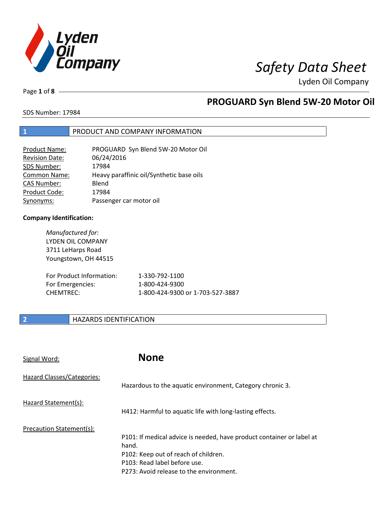

Lyden Oil Company

Page **1** of **8**

### **PROGUARD Syn Blend 5W-20 Motor Oil**

SDS Number: 17984

#### **1** PRODUCT AND COMPANY INFORMATION

| <b>Product Name:</b>  | PROGUARD Syn Blend 5W-20 Motor Oil       |
|-----------------------|------------------------------------------|
| <b>Revision Date:</b> | 06/24/2016                               |
| SDS Number:           | 17984                                    |
| <b>Common Name:</b>   | Heavy paraffinic oil/Synthetic base oils |
| <b>CAS Number:</b>    | Blend                                    |
| Product Code:         | 17984                                    |
| Synonyms:             | Passenger car motor oil                  |

#### **Company Identification:**

*Manufactured for:*  LYDEN OIL COMPANY 3711 LeHarps Road Youngstown, OH 44515 For Product Information: 1-330-792-1100 For Emergencies: 1-800-424-9300

CHEMTREC: 1-800-424-9300 or 1-703-527-3887

#### **2 HAZARDS IDENTIFICATION**

| Signal Word:               | <b>None</b>                                                                                                                                                                                       |
|----------------------------|---------------------------------------------------------------------------------------------------------------------------------------------------------------------------------------------------|
| Hazard Classes/Categories: | Hazardous to the aquatic environment, Category chronic 3.                                                                                                                                         |
| Hazard Statement(s):       | H412: Harmful to aquatic life with long-lasting effects.                                                                                                                                          |
| Precaution Statement(s):   | P101: If medical advice is needed, have product container or label at<br>hand.<br>P102: Keep out of reach of children.<br>P103: Read label before use.<br>P273: Avoid release to the environment. |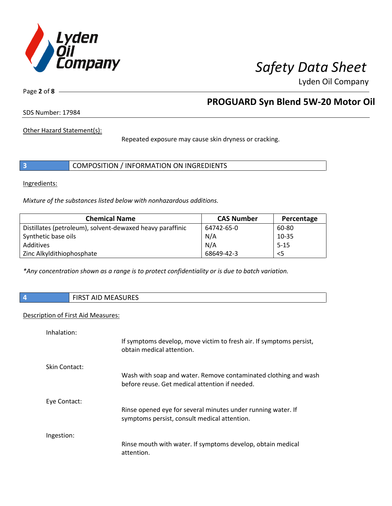

Lyden Oil Company

Page **2** of **8**

### **PROGUARD Syn Blend 5W-20 Motor Oil**

SDS Number: 17984

Other Hazard Statement(s):

Repeated exposure may cause skin dryness or cracking.

|  | COMPOSITION / INFORMATION ON INGREDIENTS |
|--|------------------------------------------|
|--|------------------------------------------|

Ingredients:

*Mixture of the substances listed below with nonhazardous additions.* 

| <b>Chemical Name</b>                                      | <b>CAS Number</b> | Percentage |
|-----------------------------------------------------------|-------------------|------------|
| Distillates (petroleum), solvent-dewaxed heavy paraffinic | 64742-65-0        | 60-80      |
| Synthetic base oils                                       | N/A               | $10 - 35$  |
| Additives                                                 | N/A               | $5 - 15$   |
| Zinc Alkyldithiophosphate                                 | 68649-42-3        | $<$ 5      |

*\*Any concentration shown as a range is to protect confidentiality or is due to batch variation.*

**4** FIRST AID MEASURES

#### Description of First Aid Measures:

| Inhalation:   |                                                                                                                   |
|---------------|-------------------------------------------------------------------------------------------------------------------|
|               | If symptoms develop, move victim to fresh air. If symptoms persist,<br>obtain medical attention.                  |
| Skin Contact: |                                                                                                                   |
|               | Wash with soap and water. Remove contaminated clothing and wash<br>before reuse. Get medical attention if needed. |
| Eye Contact:  |                                                                                                                   |
|               | Rinse opened eye for several minutes under running water. If<br>symptoms persist, consult medical attention.      |
|               |                                                                                                                   |
| Ingestion:    |                                                                                                                   |
|               | Rinse mouth with water. If symptoms develop, obtain medical<br>attention.                                         |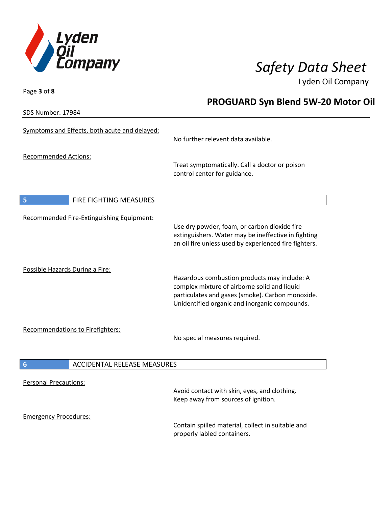

Lyden Oil Company

SDS Number: 17984

Page **3** of **8**

### **PROGUARD Syn Blend 5W-20 Motor Oil**

| Symptoms and Effects, both acute and delayed:         | No further relevent data available.                                                                                                                                                               |
|-------------------------------------------------------|---------------------------------------------------------------------------------------------------------------------------------------------------------------------------------------------------|
| <b>Recommended Actions:</b>                           | Treat symptomatically. Call a doctor or poison<br>control center for guidance.                                                                                                                    |
| 5<br>FIRE FIGHTING MEASURES                           |                                                                                                                                                                                                   |
| Recommended Fire-Extinguishing Equipment:             | Use dry powder, foam, or carbon dioxide fire<br>extinguishers. Water may be ineffective in fighting<br>an oil fire unless used by experienced fire fighters.                                      |
| Possible Hazards During a Fire:                       | Hazardous combustion products may include: A<br>complex mixture of airborne solid and liquid<br>particulates and gases (smoke). Carbon monoxide.<br>Unidentified organic and inorganic compounds. |
| <b>Recommendations to Firefighters:</b>               | No special measures required.                                                                                                                                                                     |
| $6\phantom{1}6$<br><b>ACCIDENTAL RELEASE MEASURES</b> |                                                                                                                                                                                                   |
| <b>Personal Precautions:</b>                          | Avoid contact with skin, eyes, and clothing.<br>Keep away from sources of ignition.                                                                                                               |
| <b>Emergency Procedures:</b>                          | Contain spilled material, collect in suitable and<br>properly labled containers.                                                                                                                  |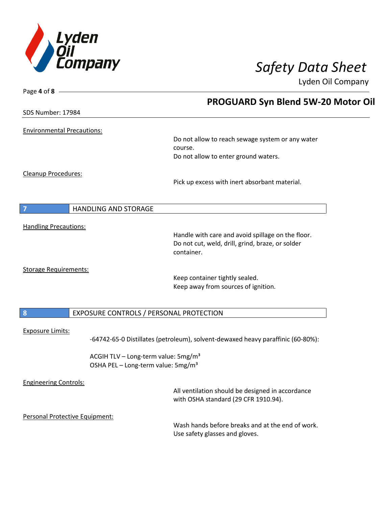

Page **4** of **8**

# *Safety Data Sheet*

Lyden Oil Company

|                                   | <b>PROGUARD Syn Blend 5W-20 Motor Oil</b>                                                         |
|-----------------------------------|---------------------------------------------------------------------------------------------------|
| SDS Number: 17984                 |                                                                                                   |
| <b>Environmental Precautions:</b> |                                                                                                   |
|                                   | Do not allow to reach sewage system or any water<br>course.                                       |
|                                   | Do not allow to enter ground waters.                                                              |
| Cleanup Procedures:               | Pick up excess with inert absorbant material.                                                     |
|                                   | <b>HANDLING AND STORAGE</b>                                                                       |
| <b>Handling Precautions:</b>      |                                                                                                   |
|                                   | Handle with care and avoid spillage on the floor.                                                 |
|                                   | Do not cut, weld, drill, grind, braze, or solder<br>container.                                    |
| <b>Storage Requirements:</b>      |                                                                                                   |
|                                   | Keep container tightly sealed.                                                                    |
|                                   | Keep away from sources of ignition.                                                               |
|                                   |                                                                                                   |
| $\boldsymbol{8}$                  | EXPOSURE CONTROLS / PERSONAL PROTECTION                                                           |
| <b>Exposure Limits:</b>           |                                                                                                   |
|                                   | -64742-65-0 Distillates (petroleum), solvent-dewaxed heavy paraffinic (60-80%):                   |
|                                   | ACGIH TLV - Long-term value: 5mg/m <sup>3</sup><br>OSHA PEL - Long-term value: 5mg/m <sup>3</sup> |
| <b>Engineering Controls:</b>      |                                                                                                   |
|                                   | All ventilation should be designed in accordance<br>with OSHA standard (29 CFR 1910.94).          |
| Personal Protective Equipment:    |                                                                                                   |
|                                   | Wash hands before breaks and at the end of work.<br>Use safety glasses and gloves.                |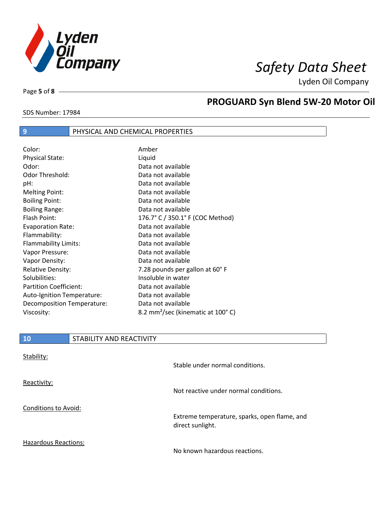

Lyden Oil Company

Page **5** of **8**

SDS Number: 17984

### **PROGUARD Syn Blend 5W-20 Motor Oil**

### **9** PHYSICAL AND CHEMICAL PROPERTIES

| Color:                        | Amber                                         |
|-------------------------------|-----------------------------------------------|
| <b>Physical State:</b>        | Liquid                                        |
| Odor:                         | Data not available                            |
| Odor Threshold:               | Data not available                            |
| pH:                           | Data not available                            |
| <b>Melting Point:</b>         | Data not available                            |
| <b>Boiling Point:</b>         | Data not available                            |
| <b>Boiling Range:</b>         | Data not available                            |
| Flash Point:                  | 176.7° C / 350.1° F (COC Method)              |
| <b>Evaporation Rate:</b>      | Data not available                            |
| Flammability:                 | Data not available                            |
| Flammability Limits:          | Data not available                            |
| Vapor Pressure:               | Data not available                            |
| Vapor Density:                | Data not available                            |
| <b>Relative Density:</b>      | 7.28 pounds per gallon at 60°F                |
| Solubilities:                 | Insoluble in water                            |
| <b>Partition Coefficient:</b> | Data not available                            |
| Auto-Ignition Temperature:    | Data not available                            |
| Decomposition Temperature:    | Data not available                            |
| Viscosity:                    | 8.2 mm <sup>2</sup> /sec (kinematic at 100°C) |

| Stability:                  | Stable under normal conditions.                                  |
|-----------------------------|------------------------------------------------------------------|
| Reactivity:                 | Not reactive under normal conditions.                            |
| Conditions to Avoid:        | Extreme temperature, sparks, open flame, and<br>direct sunlight. |
| <b>Hazardous Reactions:</b> | No known hazardous reactions.                                    |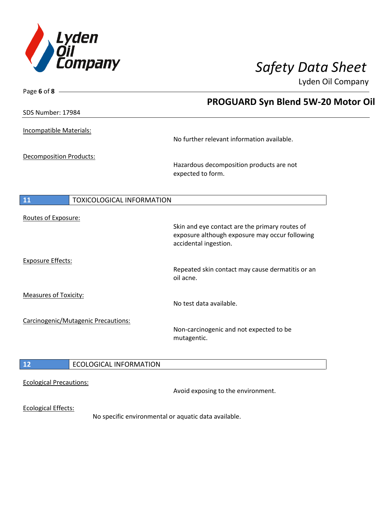

Page **6** of **8**

## *Safety Data Sheet*

Lyden Oil Company

|                                        | <b>PROGUARD Syn Blend 5W-20 Motor Oil</b>                                                                                 |
|----------------------------------------|---------------------------------------------------------------------------------------------------------------------------|
| SDS Number: 17984                      |                                                                                                                           |
| Incompatible Materials:                | No further relevant information available.                                                                                |
| <b>Decomposition Products:</b>         | Hazardous decomposition products are not<br>expected to form.                                                             |
| 11<br><b>TOXICOLOGICAL INFORMATION</b> |                                                                                                                           |
| Routes of Exposure:                    | Skin and eye contact are the primary routes of<br>exposure although exposure may occur following<br>accidental ingestion. |
| <b>Exposure Effects:</b>               | Repeated skin contact may cause dermatitis or an<br>oil acne.                                                             |
| <b>Measures of Toxicity:</b>           | No test data available.                                                                                                   |
| Carcinogenic/Mutagenic Precautions:    | Non-carcinogenic and not expected to be<br>mutagentic.                                                                    |
| $12$<br><b>ECOLOGICAL INFORMATION</b>  |                                                                                                                           |
| <b>Ecological Precautions:</b>         | Avoid exposing to the environment.                                                                                        |
| <b>Ecological Effects:</b>             | No specific environmental or aquatic data available.                                                                      |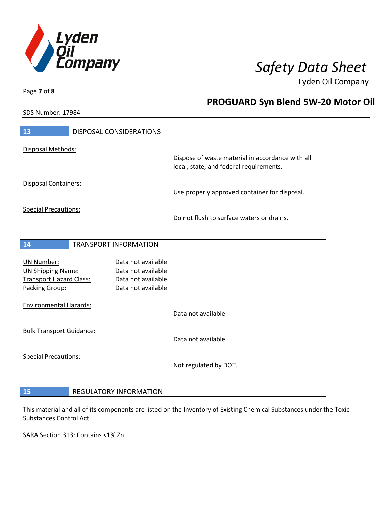

**PROGUARD Syn Blend 5W-20 Motor Oil** 

Lyden Oil Company

SDS Number: 17984

Page **7** of **8**

 $\overline{\phantom{a}}$ 

| Disposal Methods:<br>Dispose of waste material in accordance with all<br>local, state, and federal requirements.<br><b>Disposal Containers:</b><br>Use properly approved container for disposal.<br><b>Special Precautions:</b><br>Do not flush to surface waters or drains. |
|------------------------------------------------------------------------------------------------------------------------------------------------------------------------------------------------------------------------------------------------------------------------------|
|                                                                                                                                                                                                                                                                              |
|                                                                                                                                                                                                                                                                              |
|                                                                                                                                                                                                                                                                              |
|                                                                                                                                                                                                                                                                              |
|                                                                                                                                                                                                                                                                              |
|                                                                                                                                                                                                                                                                              |
| TRANSPORT INFORMATION<br>14                                                                                                                                                                                                                                                  |
| Data not available<br><b>UN Number:</b>                                                                                                                                                                                                                                      |
| <b>UN Shipping Name:</b><br>Data not available                                                                                                                                                                                                                               |
| <b>Transport Hazard Class:</b><br>Data not available<br>Packing Group:<br>Data not available                                                                                                                                                                                 |
|                                                                                                                                                                                                                                                                              |
| <b>Environmental Hazards:</b><br>Data not available                                                                                                                                                                                                                          |
|                                                                                                                                                                                                                                                                              |
| <b>Bulk Transport Guidance:</b><br>Data not available                                                                                                                                                                                                                        |
|                                                                                                                                                                                                                                                                              |
| <b>Special Precautions:</b>                                                                                                                                                                                                                                                  |
|                                                                                                                                                                                                                                                                              |
| Not regulated by DOT.                                                                                                                                                                                                                                                        |

## This material and all of its components are listed on the Inventory of Existing Chemical Substances under the Toxic

SARA Section 313: Contains <1% Zn

Substances Control Act.